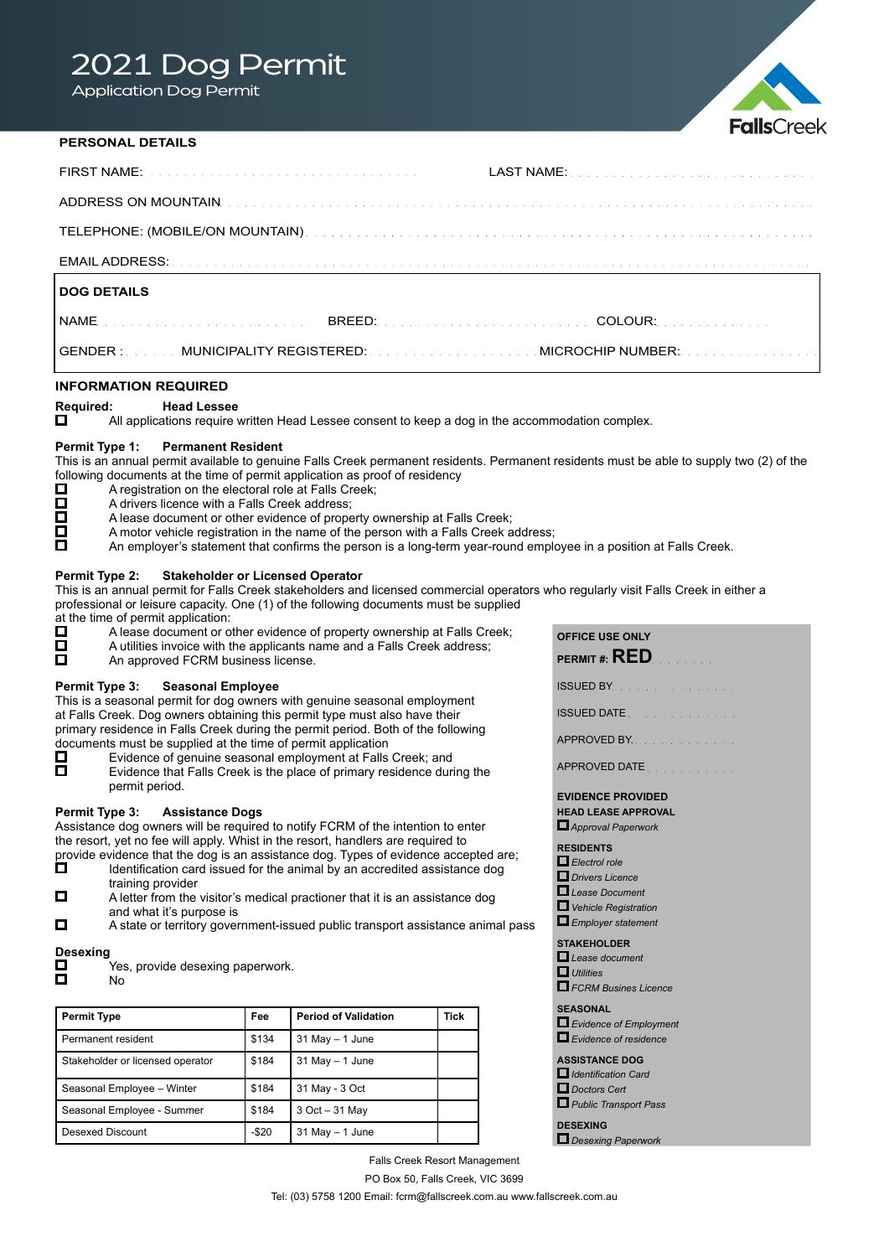# 2021 Dog Permit

Application Dog Permit



# **PERSONAL DETAILS**

| <b>DOG DETAILS</b>                                  |  |  |  |  |
|-----------------------------------------------------|--|--|--|--|
|                                                     |  |  |  |  |
| GENDER : MUNICIPALITY REGISTERED: MICROCHIP NUMBER: |  |  |  |  |
| <b>INFORMATION REQUIRED</b>                         |  |  |  |  |

**Required: Head Lessee**<br> **D** All applications require All applications require written Head Lessee consent to keep a dog in the accommodation complex.

## **Permit Type 1: Permanent Resident**

This is an annual permit available to genuine Falls Creek permanent residents. Permanent residents must be able to supply two (2) of the following documents at the time of permit application as proof of residency  $\Box$  A registration on the electoral role at Falls Creek;

- A registration on the electoral role at Falls Creek;
- Ŏ A drivers licence with a Falls Creek address;
	- A lease document or other evidence of property ownership at Falls Creek;
- $\Box$ A motor vehicle registration in the name of the person with a Falls Creek address;
- An employer's statement that confirms the person is a long-term year-round employee in a position at Falls Creek.

## **Permit Type 2: Stakeholder or Licensed Operator**

This is an annual permit for Falls Creek stakeholders and licensed commercial operators who regularly visit Falls Creek in either a professional or leisure capacity. One (1) of the following documents must be supplied

- at the time of permit application:<br> $\Box$  A lease document or o A lease document or other evidence of property ownership at Falls Creek;
- ō A utilities invoice with the applicants name and a Falls Creek address;
- $\Box$ An approved FCRM business license.

## **Permit Type 3: Seasonal Employee**

This is a seasonal permit for dog owners with genuine seasonal employment at Falls Creek. Dog owners obtaining this permit type must also have their primary residence in Falls Creek during the permit period. Both of the following documents must be supplied at the time of permit application  $\square$  Evidence of genuine seasonal employment at Falls

- Evidence of genuine seasonal employment at Falls Creek; and
- $\Box$ Evidence that Falls Creek is the place of primary residence during the permit period.

# **Permit Type 3: Assistance Dogs**

Assistance dog owners will be required to notify FCRM of the intention to enter the resort, yet no fee will apply. Whist in the resort, handlers are required to

- provide evidence that the dog is an assistance dog. Types of evidence accepted are;<br> $\Box$  Identification card issued for the animal by an accredited assistance dog Identification card issued for the animal by an accredited assistance dog training provider
- $\Box$ A letter from the visitor's medical practioner that it is an assistance dog and what it's purpose is
- $\Box$  A state or territory government-issued public transport assistance animal pass

# Desexing<br>**D**

- Yes, provide desexing paperwork. No
- 

| <b>Permit Type</b>               | Fee    | <b>Period of Validation</b> | Tick |
|----------------------------------|--------|-----------------------------|------|
| Permanent resident               | \$134  | $31$ May $- 1$ June         |      |
| Stakeholder or licensed operator | \$184  | $31$ May $- 1$ June         |      |
| Seasonal Employee - Winter       | \$184  | 31 May - 3 Oct              |      |
| Seasonal Employee - Summer       | \$184  | 3 Oct - 31 May              |      |
| Desexed Discount                 | $-$20$ | $31$ May $-1$ June          |      |

| <b>OFFICE USE ONLY</b><br>PERMIT #: $\sf{RED}$                               |
|------------------------------------------------------------------------------|
| ISSUED BY.                                                                   |
| ISSUED DATE.                                                                 |
| APPROVED BY.                                                                 |
| APPROVED DATE                                                                |
| <b>EVIDENCE PROVIDED</b><br><b>HEAD LEASE APPROVAL</b><br>Approval Paperwork |
| <b>RESIDENTS</b>                                                             |

- *Electrol role*
- *Drivers Licence*
- *Lease Document*
- *Vehicle Registration*
- *Employer statement*
- **STAKEHOLDER**
- *Lease document Utilities*
- *FCRM Busines Licence*

#### **SEASONAL**

- *Evidence of Employment Evidence of residence*
- 

# **ASSISTANCE DOG**

- *Identification Card Doctors Cert*
- *Public Transport Pass*

**DESEXING**  *Desexing Paperwork*

Falls Creek Resort Management PO Box 50, Falls Creek, VIC 3699 Tel: (03) 5758 1200 Email: fcrm@fallscreek.com.au www.fallscreek.com.au